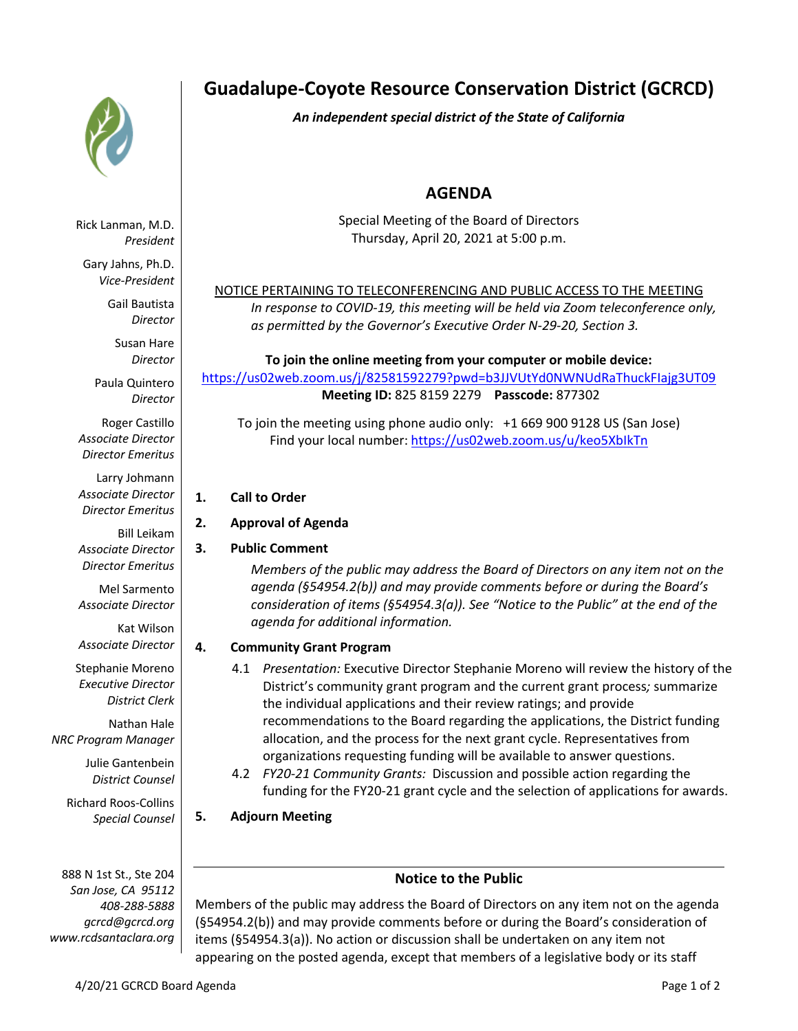

# **Guadalupe-Coyote Resource Conservation District (GCRCD)**

*An independent special district of the State of California*

# **AGENDA**

Special Meeting of the Board of Directors Thursday, April 20, 2021 at 5:00 p.m.

#### NOTICE PERTAINING TO TELECONFERENCING AND PUBLIC ACCESS TO THE MEETING *In response to COVID-19, this meeting will be held via Zoom teleconference only,*

*as permitted by the Governor's Executive Order N-29-20, Section 3.*

#### **To join the online meeting from your computer or mobile device:**  https://us02web.zoom.us/j/82581592279?pwd=b3JJVUtYd0NWNUdRaThuckFIajg3UT09 **Meeting ID:** 825 8159 2279 **Passcode:** 877302

To join the meeting using phone audio only: +1 669 900 9128 US (San Jose) Find your local number: https://us02web.zoom.us/u/keo5XbIkTn

- **1. Call to Order**
- **2. Approval of Agenda**
- **3. Public Comment**

*Members of the public may address the Board of Directors on any item not on the agenda (§54954.2(b)) and may provide comments before or during the Board's consideration of items (§54954.3(a)). See "Notice to the Public" at the end of the agenda for additional information.*

## **4. Community Grant Program**

- 4.1 *Presentation:* Executive Director Stephanie Moreno will review the history of the District's community grant program and the current grant process*;* summarize the individual applications and their review ratings; and provide recommendations to the Board regarding the applications, the District funding allocation, and the process for the next grant cycle. Representatives from organizations requesting funding will be available to answer questions.
- 4.2 *FY20-21 Community Grants:* Discussion and possible action regarding the funding for the FY20-21 grant cycle and the selection of applications for awards.
- **5. Adjourn Meeting**

## **Notice to the Public**

Members of the public may address the Board of Directors on any item not on the agenda (§54954.2(b)) and may provide comments before or during the Board's consideration of items (§54954.3(a)). No action or discussion shall be undertaken on any item not appearing on the posted agenda, except that members of a legislative body or its staff

Rick Lanman, M.D. *President*

Gary Jahns, Ph.D. *Vice-President*

> Gail Bautista *Director*

> > Susan Hare *Director*

Paula Quintero *Director*

Roger Castillo *Associate Director Director Emeritus*

Larry Johmann *Associate Director Director Emeritus*

Bill Leikam *Associate Director Director Emeritus*

Mel Sarmento *Associate Director*

Kat Wilson *Associate Director*

Stephanie Moreno *Executive Director District Clerk*

Nathan Hale *NRC Program Manager*

> Julie Gantenbein *District Counsel*

Richard Roos-Collins *Special Counsel*

888 N 1st St., Ste 204 *San Jose, CA 95112 408-288-5888 gcrcd@gcrcd.org www.rcdsantaclara.org*